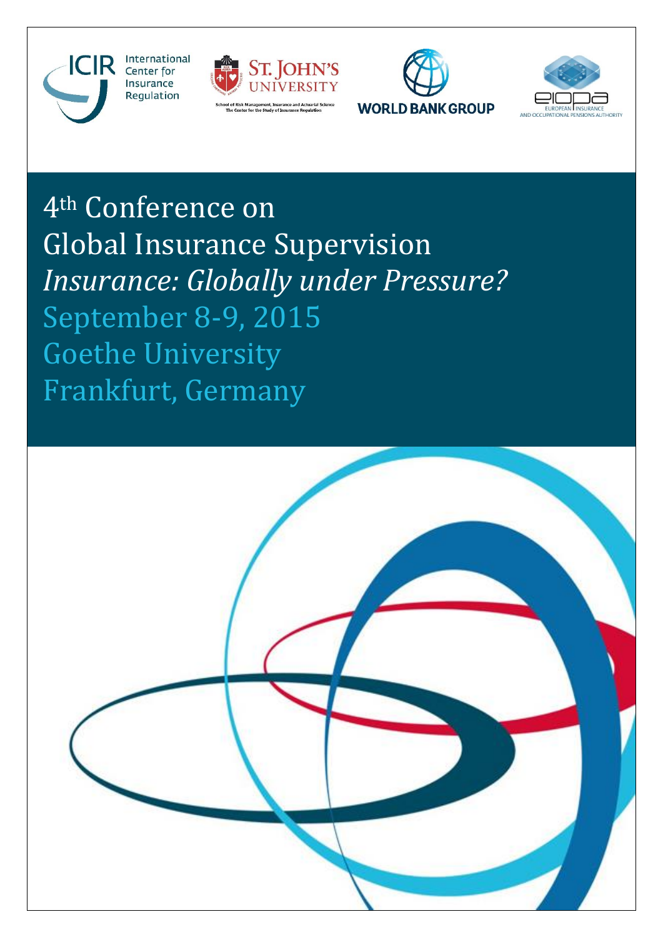







4th Conference on Global Insurance Supervision *Insurance: Globally under Pressure?* September 8-9, 2015 Goethe University Frankfurt, Germany

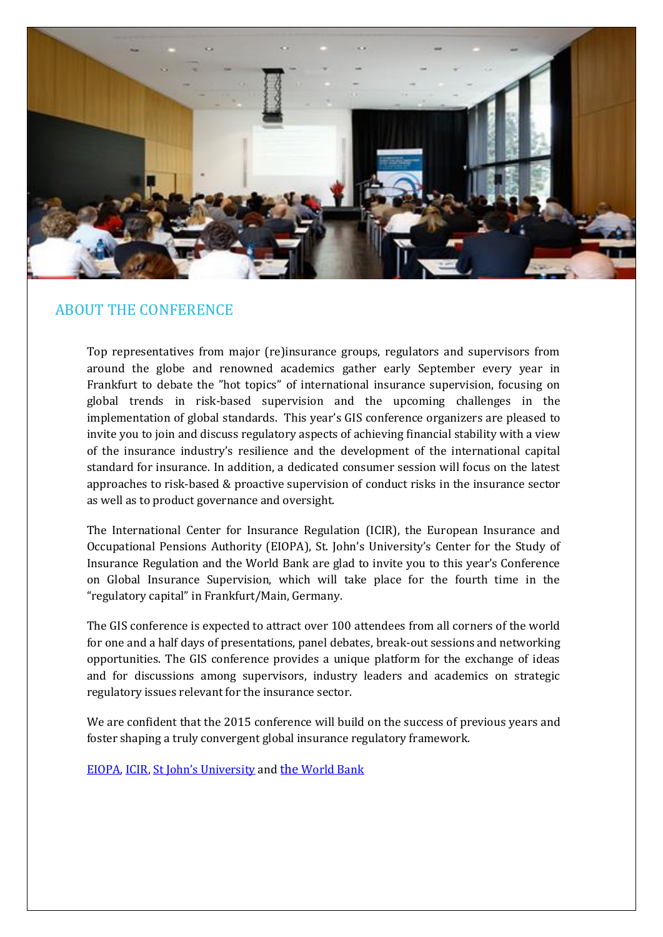

### ABOUT THE CONFERENCE

Top representatives from major (re)insurance groups, regulators and supervisors from around the globe and renowned academics gather early September every year in Frankfurt to debate the "hot topics" of international insurance supervision, focusing on global trends in risk-based supervision and the upcoming challenges in the implementation of global standards. This year's GIS conference organizers are pleased to invite you to join and discuss regulatory aspects of achieving financial stability with a view of the insurance industry's resilience and the development of the international capital standard for insurance. In addition, a dedicated consumer session will focus on the latest approaches to risk-based & proactive supervision of conduct risks in the insurance sector as well as to product governance and oversight.

The International Center for Insurance Regulation (ICIR), the European Insurance and Occupational Pensions Authority (EIOPA), St. John's University's Center for the Study of Insurance Regulation and the World Bank are glad to invite you to this year's Conference on Global Insurance Supervision, which will take place for the fourth time in the "regulatory capital" in Frankfurt/Main, Germany.

The GIS conference is expected to attract over 100 attendees from all corners of the world for one and a half days of presentations, panel debates, break-out sessions and networking opportunities. The GIS conference provides a unique platform for the exchange of ideas and for discussions among supervisors, industry leaders and academics on strategic regulatory issues relevant for the insurance sector.

We are confident that the 2015 conference will build on the success of previous years and foster shaping a truly convergent global insurance regulatory framework.

[EIOPA,](https://eiopa.europa.eu/) [ICIR,](http://www.icir.de/) [St John's University](http://www.stjohns.edu/academics/schools-and-colleges/peter-j-tobin-college-business/center-study-insurance-regulation) and the [World](http://www.worldbank.org/) Bank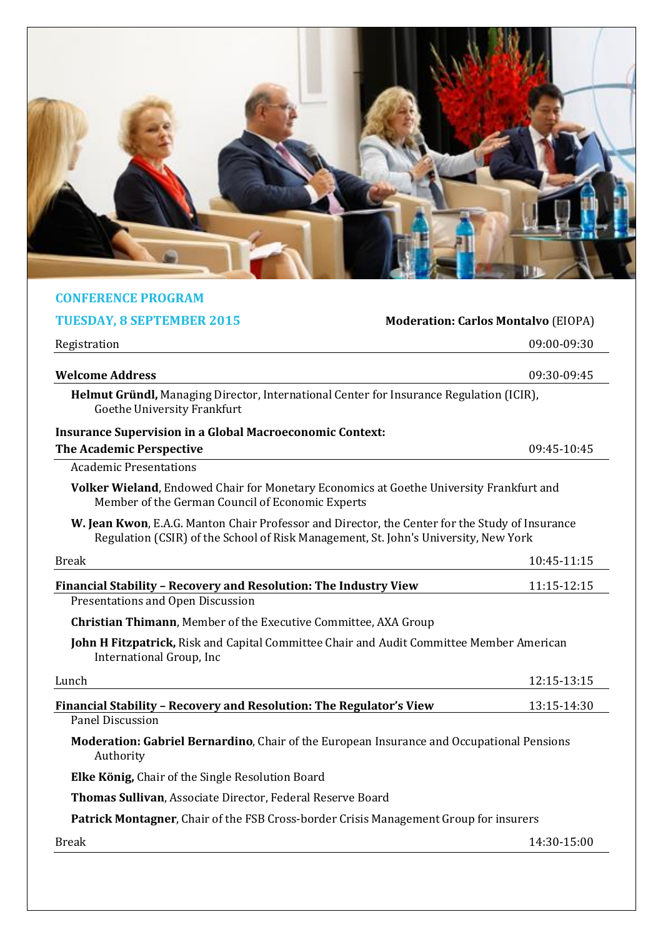

#### **CONFERENCE PROGRAM**

# **TUESDAY, 8 SEPTEMBER 2015 Moderation: Carlos Montalvo** (EIOPA) Registration 09:00-09:30 **Welcome Address** 09:30-09:45 **Helmut Gründl,** Managing Director, International Center for Insurance Regulation (ICIR), Goethe University Frankfurt **Insurance Supervision in a Global Macroeconomic Context: The Academic Perspective 2001 20:45 20:45 20:45 20:45 20:45 20:45 20:45 20:45 20:45 20:45 20:45 20:45 20:45 20:45 20:45 20:45 20:45 20:45 20:45 20:45 20:45 20:45 20:45 20:45 20:45 20:45 20:45 20:45 20:45 20:45 20:45 20:45** Academic Presentations **Volker Wieland**, Endowed Chair for Monetary Economics at Goethe University Frankfurt and Member of the German Council of Economic Experts **W. Jean Kwon**, E.A.G. Manton Chair Professor and Director, the Center for the Study of Insurance Regulation (CSIR) of the School of Risk Management, St. John's University, New York Break 10:45-11:15 **Financial Stability - Recovery and Resolution: The Industry View 11:15-12:15** Presentations and Open Discussion **Christian Thimann**, Member of the Executive Committee, AXA Group **John H Fitzpatrick,** Risk and Capital Committee Chair and Audit Committee Member American International Group, Inc Lunch 12:15-13:15 **Financial Stability – Recovery and Resolution: The Regulator's View** 13:15-14:30 Panel Discussion **Moderation: Gabriel Bernardino**, Chair of the European Insurance and Occupational Pensions Authority **Elke König,** Chair of the Single Resolution Board **Thomas Sullivan**, Associate Director, Federal Reserve Board

**Patrick Montagner**, Chair of the FSB Cross-border Crisis Management Group for insurers

Break 14:30-15:00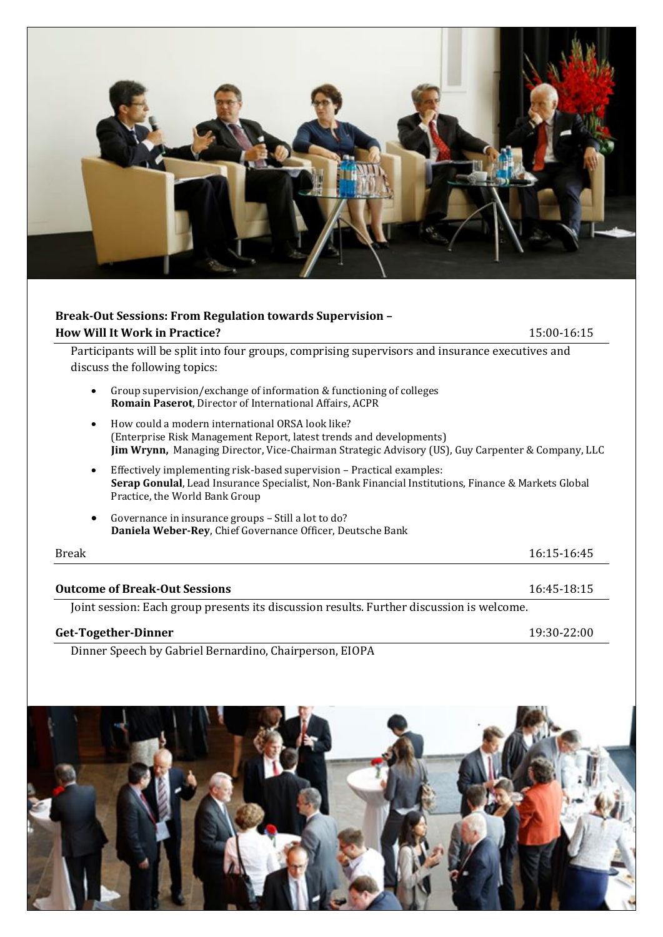

## **Break-Out Sessions: From Regulation towards Supervision – How Will It Work in Practice?** 15:00-16:15 Participants will be split into four groups, comprising supervisors and insurance executives and discuss the following topics:

- Group supervision/exchange of information & functioning of colleges **Romain Paserot**, Director of International Affairs, ACPR
- How could a modern international ORSA look like? (Enterprise Risk Management Report, latest trends and developments) **Jim Wrynn,** Managing Director, Vice-Chairman Strategic Advisory (US), Guy Carpenter & Company, LLC
- Effectively implementing risk-based supervision Practical examples: **Serap Gonulal**, Lead Insurance Specialist, Non-Bank Financial Institutions, Finance & Markets Global Practice, the World Bank Group
- Governance in insurance groups Still a lot to do? **Daniela Weber-Rey**, Chief Governance Officer, Deutsche Bank

| Break                                                                                     | 16:15-16:45 |
|-------------------------------------------------------------------------------------------|-------------|
| <b>Outcome of Break-Out Sessions</b>                                                      | 16:45-18:15 |
| Joint session: Each group presents its discussion results. Further discussion is welcome. |             |
| Get-Together-Dinner                                                                       | 19:30-22:00 |

Dinner Speech by Gabriel Bernardino, Chairperson, EIOPA

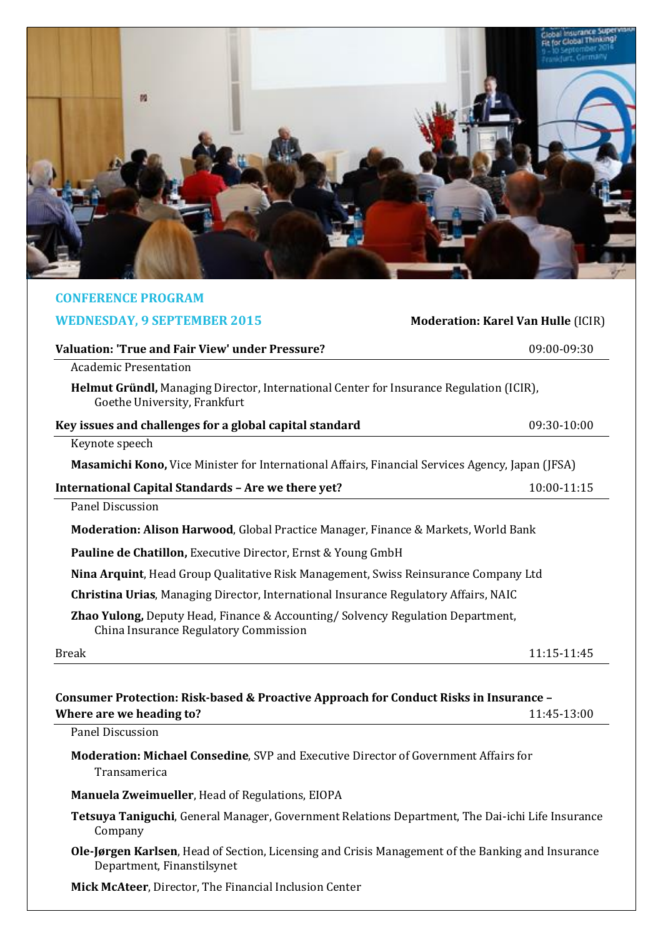

| <b>CONFERENCE PROGRAM</b>                                                                                                      |                                           |
|--------------------------------------------------------------------------------------------------------------------------------|-------------------------------------------|
| <b>WEDNESDAY, 9 SEPTEMBER 2015</b>                                                                                             | <b>Moderation: Karel Van Hulle (ICIR)</b> |
| <b>Valuation: 'True and Fair View' under Pressure?</b>                                                                         | 09:00-09:30                               |
| <b>Academic Presentation</b>                                                                                                   |                                           |
| <b>Helmut Gründl,</b> Managing Director, International Center for Insurance Regulation (ICIR),<br>Goethe University, Frankfurt |                                           |
| Key issues and challenges for a global capital standard                                                                        | 09:30-10:00                               |
| Keynote speech                                                                                                                 |                                           |
| <b>Masamichi Kono, Vice Minister for International Affairs, Financial Services Agency, Japan (JFSA)</b>                        |                                           |
| International Capital Standards - Are we there yet?                                                                            | 10:00-11:15                               |
| <b>Panel Discussion</b>                                                                                                        |                                           |
| <b>Moderation: Alison Harwood, Global Practice Manager, Finance &amp; Markets, World Bank</b>                                  |                                           |
| <b>Pauline de Chatillon, Executive Director, Ernst &amp; Young GmbH</b>                                                        |                                           |
| Nina Arquint, Head Group Qualitative Risk Management, Swiss Reinsurance Company Ltd                                            |                                           |
| <b>Christina Urias, Managing Director, International Insurance Regulatory Affairs, NAIC</b>                                    |                                           |
| Zhao Yulong, Deputy Head, Finance & Accounting/ Solvency Regulation Department,<br>China Insurance Regulatory Commission       |                                           |
| <b>Break</b>                                                                                                                   | 11:15-11:45                               |
|                                                                                                                                |                                           |
| Consumer Protection: Risk-based & Proactive Approach for Conduct Risks in Insurance –                                          |                                           |
| Where are we heading to?                                                                                                       | 11:45-13:00                               |
| Panel Discussion                                                                                                               |                                           |

**Moderation: Michael Consedine**, SVP and Executive Director of Government Affairs for Transamerica

**Manuela Zweimueller**, Head of Regulations, EIOPA

**Tetsuya Taniguchi**, General Manager, Government Relations Department, The Dai-ichi Life Insurance Company

**Ole-Jørgen Karlsen**, Head of Section, Licensing and Crisis Management of the Banking and Insurance Department, Finanstilsynet

**Mick McAteer**, Director, The Financial Inclusion Center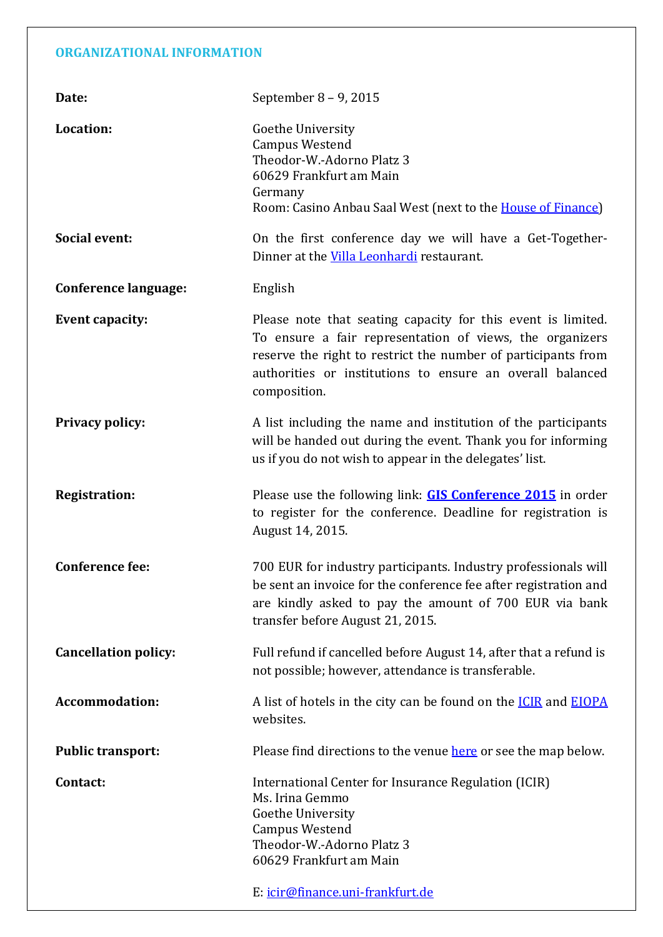### **ORGANIZATIONAL INFORMATION**

| Date:                       | September 8 - 9, 2015                                                                                                                                                                                                                                                  |
|-----------------------------|------------------------------------------------------------------------------------------------------------------------------------------------------------------------------------------------------------------------------------------------------------------------|
| Location:                   | Goethe University<br><b>Campus Westend</b><br>Theodor-W.-Adorno Platz 3<br>60629 Frankfurt am Main<br>Germany<br>Room: Casino Anbau Saal West (next to the <b>House of Finance</b> )                                                                                   |
| <b>Social event:</b>        | On the first conference day we will have a Get-Together-<br>Dinner at the Villa Leonhardi restaurant.                                                                                                                                                                  |
| <b>Conference language:</b> | English                                                                                                                                                                                                                                                                |
| <b>Event capacity:</b>      | Please note that seating capacity for this event is limited.<br>To ensure a fair representation of views, the organizers<br>reserve the right to restrict the number of participants from<br>authorities or institutions to ensure an overall balanced<br>composition. |
| <b>Privacy policy:</b>      | A list including the name and institution of the participants<br>will be handed out during the event. Thank you for informing<br>us if you do not wish to appear in the delegates' list.                                                                               |
| <b>Registration:</b>        | Please use the following link: <b>GIS Conference 2015</b> in order<br>to register for the conference. Deadline for registration is<br>August 14, 2015.                                                                                                                 |
| <b>Conference fee:</b>      | 700 EUR for industry participants. Industry professionals will<br>be sent an invoice for the conference fee after registration and<br>are kindly asked to pay the amount of 700 EUR via bank<br>transfer before August 21, 2015.                                       |
| <b>Cancellation policy:</b> | Full refund if cancelled before August 14, after that a refund is<br>not possible; however, attendance is transferable.                                                                                                                                                |
| <b>Accommodation:</b>       | A list of hotels in the city can be found on the <b>ICIR</b> and <b>EIOPA</b><br>websites.                                                                                                                                                                             |
| <b>Public transport:</b>    | Please find directions to the venue here or see the map below.                                                                                                                                                                                                         |
| Contact:                    | International Center for Insurance Regulation (ICIR)<br>Ms. Irina Gemmo<br>Goethe University<br><b>Campus Westend</b><br>Theodor-W.-Adorno Platz 3<br>60629 Frankfurt am Main<br>E: icir@finance.uni-frankfurt.de                                                      |